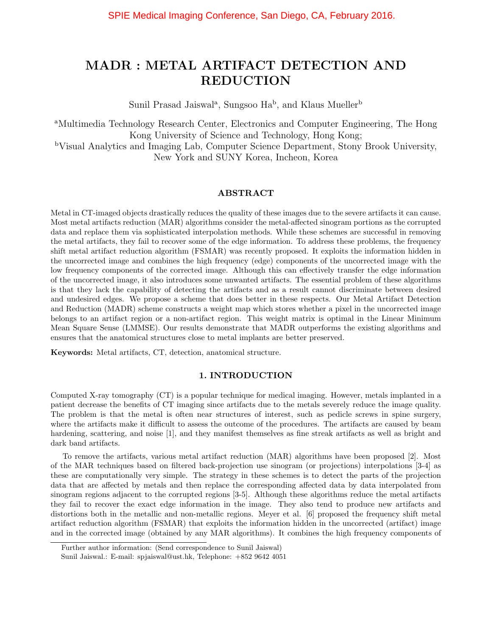# MADR : METAL ARTIFACT DETECTION AND REDUCTION

Sunil Prasad Jaiswal<sup>a</sup>, Sungsoo Ha<sup>b</sup>, and Klaus Mueller<sup>b</sup>

<sup>a</sup>Multimedia Technology Research Center, Electronics and Computer Engineering, The Hong Kong University of Science and Technology, Hong Kong;

<sup>b</sup>Visual Analytics and Imaging Lab, Computer Science Department, Stony Brook University, New York and SUNY Korea, Incheon, Korea

#### ABSTRACT

Metal in CT-imaged objects drastically reduces the quality of these images due to the severe artifacts it can cause. Most metal artifacts reduction (MAR) algorithms consider the metal-affected sinogram portions as the corrupted data and replace them via sophisticated interpolation methods. While these schemes are successful in removing the metal artifacts, they fail to recover some of the edge information. To address these problems, the frequency shift metal artifact reduction algorithm (FSMAR) was recently proposed. It exploits the information hidden in the uncorrected image and combines the high frequency (edge) components of the uncorrected image with the low frequency components of the corrected image. Although this can effectively transfer the edge information of the uncorrected image, it also introduces some unwanted artifacts. The essential problem of these algorithms is that they lack the capability of detecting the artifacts and as a result cannot discriminate between desired and undesired edges. We propose a scheme that does better in these respects. Our Metal Artifact Detection and Reduction (MADR) scheme constructs a weight map which stores whether a pixel in the uncorrected image belongs to an artifact region or a non-artifact region. This weight matrix is optimal in the Linear Minimum Mean Square Sense (LMMSE). Our results demonstrate that MADR outperforms the existing algorithms and ensures that the anatomical structures close to metal implants are better preserved.

Keywords: Metal artifacts, CT, detection, anatomical structure.

## 1. INTRODUCTION

Computed X-ray tomography (CT) is a popular technique for medical imaging. However, metals implanted in a patient decrease the benefits of CT imaging since artifacts due to the metals severely reduce the image quality. The problem is that the metal is often near structures of interest, such as pedicle screws in spine surgery, where the artifacts make it difficult to assess the outcome of the procedures. The artifacts are caused by beam hardening, scattering, and noise [1], and they manifest themselves as fine streak artifacts as well as bright and dark band artifacts.

To remove the artifacts, various metal artifact reduction (MAR) algorithms have been proposed [2]. Most of the MAR techniques based on filtered back-projection use sinogram (or projections) interpolations [3-4] as these are computationally very simple. The strategy in these schemes is to detect the parts of the projection data that are affected by metals and then replace the corresponding affected data by data interpolated from sinogram regions adjacent to the corrupted regions [3-5]. Although these algorithms reduce the metal artifacts they fail to recover the exact edge information in the image. They also tend to produce new artifacts and distortions both in the metallic and non-metallic regions. Meyer et al. [6] proposed the frequency shift metal artifact reduction algorithm (FSMAR) that exploits the information hidden in the uncorrected (artifact) image and in the corrected image (obtained by any MAR algorithms). It combines the high frequency components of

Further author information: (Send correspondence to Sunil Jaiswal)

Sunil Jaiswal.: E-mail: spjaiswal@ust.hk, Telephone: +852 9642 4051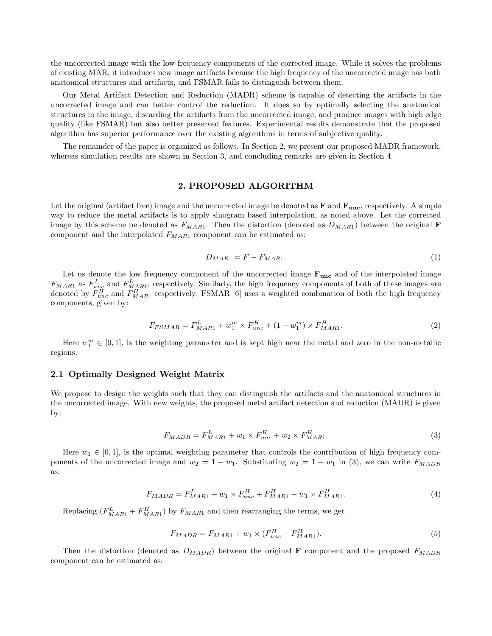the uncorrected image with the low frequency components of the corrected image. While it solves the problems of existing MAR, it introduces new image artifacts because the high frequency of the uncorrected image has both anatomical structures and artifacts, and FSMAR fails to distinguish between them.

Our Metal Artifact Detection and Reduction (MADR) scheme is capable of detecting the artifacts in the uncorrected image and can better control the reduction. It does so by optimally selecting the anatomical structures in the image, discarding the artifacts from the uncorrected image, and produce images with high edge quality (like FSMAR) but also better preserved features. Experimental results demonstrate that the proposed algorithm has superior performance over the existing algorithms in terms of subjective quality.

The remainder of the paper is organized as follows. In Section 2, we present our proposed MADR framework, whereas simulation results are shown in Section 3, and concluding remarks are given in Section 4.

### 2. PROPOSED ALGORITHM

Let the original (artifact free) image and the uncorrected image be denoted as  $\bf{F}$  and  $\bf{F}_{unc}$ , respectively. A simple way to reduce the metal artifacts is to apply sinogram based interpolation, as noted above. Let the corrected image by this scheme be denoted as  $F_{MAR1}$ . Then the distortion (denoted as  $D_{MAR1}$ ) between the original **F** component and the interpolated  $F_{MAR1}$  component can be estimated as:

$$
D_{MAR1} = F - F_{MAR1}.\tag{1}
$$

Let us denote the low frequency component of the uncorrected image  $F_{unc}$  and of the interpolated image  $F_{MAR1}$  as  $F_{unc}^L$  and  $F_{M,AR1}^L$ , respectively. Similarly, the high frequency components of both of these images are denoted by  $F_{unc}^H$  and  $F_{MAR1}^H$  respectively. FSMAR [6] uses a weighted combination of both the high frequency components, given by:

$$
F_{FSMAR} = F_{MAR1}^L + w_1^m \times F_{unc}^H + (1 - w_1^m) \times F_{MAR1}^H. \tag{2}
$$

Here  $w_1^m \in [0,1]$ , is the weighting parameter and is kept high near the metal and zero in the non-metallic regions.

#### 2.1 Optimally Designed Weight Matrix

We propose to design the weights such that they can distinguish the artifacts and the anatomical structures in the uncorrected image. With new weights, the proposed metal artifact detection and reduction (MADR) is given by:

$$
F_{MADR} = F_{MARI}^{L} + w_1 \times F_{unc}^{H} + w_2 \times F_{MARI}^{H}.
$$
\n(3)

Here  $w_1 \in [0, 1]$ , is the optimal weighting parameter that controls the contribution of high frequency components of the uncorrected image and  $w_2 = 1 - w_1$ . Substituting  $w_2 = 1 - w_1$  in (3), we can write  $F_{MADR}$ as:

$$
F_{MADR} = F_{MAR1}^{L} + w_1 \times F_{unc}^{H} + F_{MAR1}^{H} - w_1 \times F_{MAR1}^{H}.
$$
\n(4)

Replacing  $(F_{MAR1}^L + F_{MAR1}^H)$  by  $F_{MAR1}$  and then rearranging the terms, we get

$$
F_{MADR} = F_{MAR1} + w_1 \times (F_{unc}^H - F_{MAR1}^H). \tag{5}
$$

Then the distortion (denoted as  $D_{MADR}$ ) between the original **F** component and the proposed  $F_{MADR}$ component can be estimated as: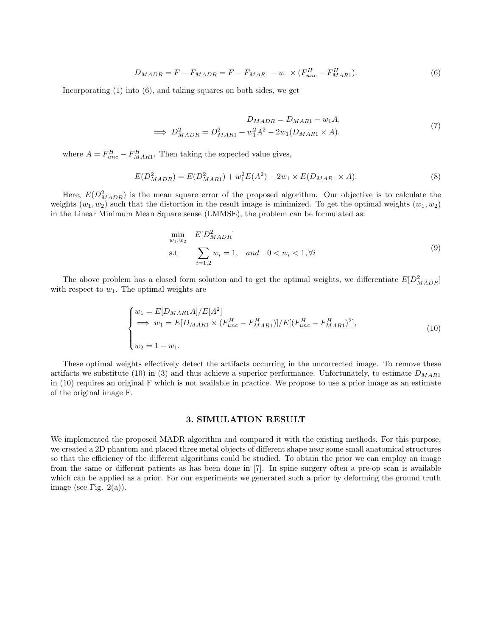$$
D_{MADR} = F - F_{MADR} = F - F_{MAR1} - w_1 \times (F_{unc}^H - F_{MAR1}^H). \tag{6}
$$

Incorporating (1) into (6), and taking squares on both sides, we get

$$
D_{MADR} = D_{MARI} - w_1 A,
$$
  
\n
$$
\implies D_{MADR}^2 = D_{MARI}^2 + w_1^2 A^2 - 2w_1 (D_{MARI} \times A).
$$
\n(7)

where  $A = F_{unc}^H - F_{MAR1}^H$ . Then taking the expected value gives,

$$
E(D_{MARDR}^2) = E(D_{MAR1}^2) + w_1^2 E(A^2) - 2w_1 \times E(D_{MAR1} \times A). \tag{8}
$$

Here,  $E(D_{MADR}^2)$  is the mean square error of the proposed algorithm. Our objective is to calculate the weights  $(w_1, w_2)$  such that the distortion in the result image is minimized. To get the optimal weights  $(w_1, w_2)$ in the Linear Minimum Mean Square sense (LMMSE), the problem can be formulated as:

$$
\min_{w_1, w_2} E[D_{MADR}^2] \n\text{s.t} \quad \sum_{i=1,2} w_i = 1, \quad and \quad 0 < w_i < 1, \forall i
$$
\n(9)

The above problem has a closed form solution and to get the optimal weights, we differentiate  $E[D_{MADR}^2]$ with respect to  $w_1$ . The optimal weights are

$$
\begin{cases}\nw_1 = E[D_{MAR1}A]/E[A^2] \\
\implies w_1 = E[D_{MAR1} \times (F_{unc}^H - F_{MAR1}^H)]/E[(F_{unc}^H - F_{MAR1}^H)^2], \\
w_2 = 1 - w_1.\n\end{cases} \tag{10}
$$

These optimal weights effectively detect the artifacts occurring in the uncorrected image. To remove these artifacts we substitute (10) in (3) and thus achieve a superior performance. Unfortunately, to estimate  $D_{MARI}$ in (10) requires an original F which is not available in practice. We propose to use a prior image as an estimate of the original image F.

#### 3. SIMULATION RESULT

We implemented the proposed MADR algorithm and compared it with the existing methods. For this purpose, we created a 2D phantom and placed three metal objects of different shape near some small anatomical structures so that the efficiency of the different algorithms could be studied. To obtain the prior we can employ an image from the same or different patients as has been done in [7]. In spine surgery often a pre-op scan is available which can be applied as a prior. For our experiments we generated such a prior by deforming the ground truth image (see Fig.  $2(a)$ ).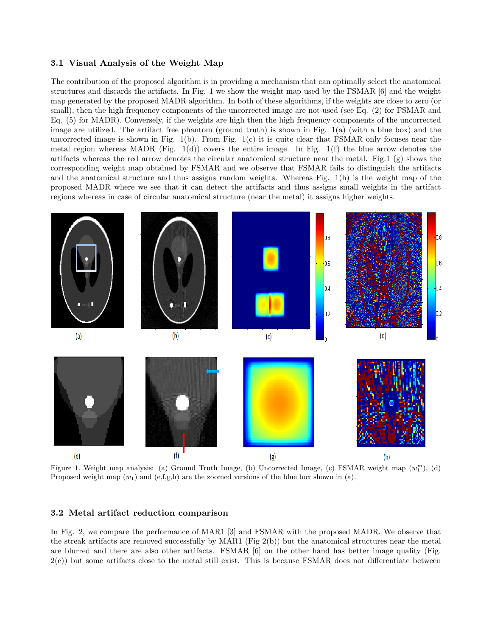#### 3.1 Visual Analysis of the Weight Map

The contribution of the proposed algorithm is in providing a mechanism that can optimally select the anatomical structures and discards the artifacts. In Fig. 1 we show the weight map used by the FSMAR [6] and the weight map generated by the proposed MADR algorithm. In both of these algorithms, if the weights are close to zero (or small), then the high frequency components of the uncorrected image are not used (see Eq.  $(2)$  for FSMAR and Eq. (5) for MADR). Conversely, if the weights are high then the high frequency components of the uncorrected image are utilized. The artifact free phantom (ground truth) is shown in Fig. 1(a) (with a blue box) and the uncorrected image is shown in Fig.  $1(b)$ . From Fig.  $1(c)$  it is quite clear that FSMAR only focuses near the metal region whereas MADR (Fig.  $1(d)$ ) covers the entire image. In Fig.  $1(f)$  the blue arrow denotes the artifacts whereas the red arrow denotes the circular anatomical structure near the metal. Fig.1 (g) shows the corresponding weight map obtained by FSMAR and we observe that FSMAR fails to distinguish the artifacts and the anatomical structure and thus assigns random weights. Whereas Fig. 1(h) is the weight map of the proposed MADR where we see that it can detect the artifacts and thus assigns small weights in the artifact regions whereas in case of circular anatomical structure (near the metal) it assigns higher weights.



Figure 1. Weight map analysis: (a) Ground Truth Image, (b) Uncorrected Image, (c) FSMAR weight map  $(w_1^m)$ , (d) Proposed weight map  $(w_1)$  and  $(e,f,g,h)$  are the zoomed versions of the blue box shown in (a).

#### 3.2 Metal artifact reduction comparison

In Fig. 2, we compare the performance of MAR1 [3] and FSMAR with the proposed MADR. We observe that the streak artifacts are removed successfully by MAR1 (Fig 2(b)) but the anatomical structures near the metal are blurred and there are also other artifacts. FSMAR [6] on the other hand has better image quality (Fig. 2(c)) but some artifacts close to the metal still exist. This is because FSMAR does not differentiate between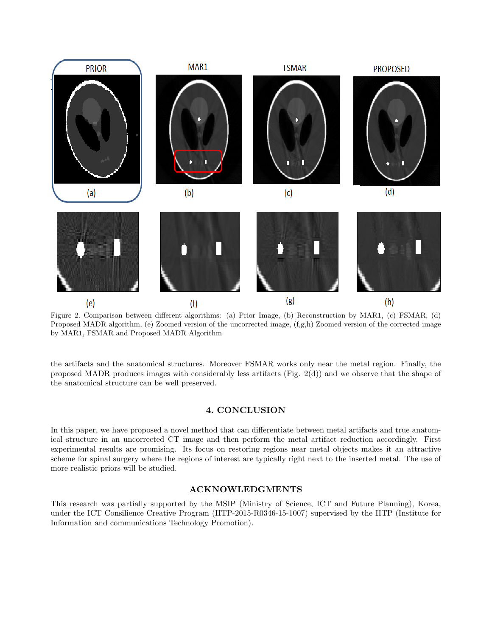

Figure 2. Comparison between different algorithms: (a) Prior Image, (b) Reconstruction by MAR1, (c) FSMAR, (d) Proposed MADR algorithm, (e) Zoomed version of the uncorrected image, (f,g,h) Zoomed version of the corrected image by MAR1, FSMAR and Proposed MADR Algorithm

the artifacts and the anatomical structures. Moreover FSMAR works only near the metal region. Finally, the proposed MADR produces images with considerably less artifacts (Fig. 2(d)) and we observe that the shape of the anatomical structure can be well preserved.

# 4. CONCLUSION

In this paper, we have proposed a novel method that can differentiate between metal artifacts and true anatomical structure in an uncorrected CT image and then perform the metal artifact reduction accordingly. First experimental results are promising. Its focus on restoring regions near metal objects makes it an attractive scheme for spinal surgery where the regions of interest are typically right next to the inserted metal. The use of more realistic priors will be studied.

## ACKNOWLEDGMENTS

This research was partially supported by the MSIP (Ministry of Science, ICT and Future Planning), Korea, under the ICT Consilience Creative Program (IITP-2015-R0346-15-1007) supervised by the IITP (Institute for Information and communications Technology Promotion).